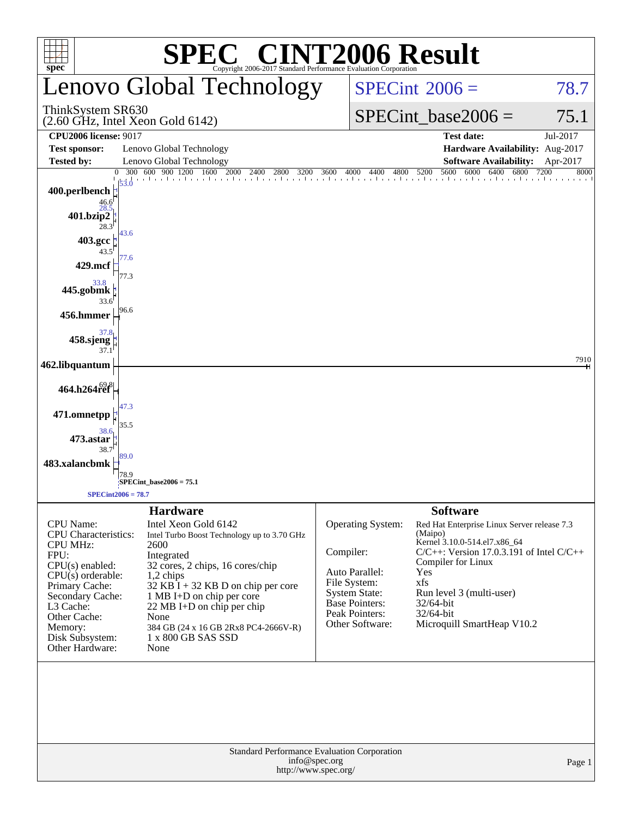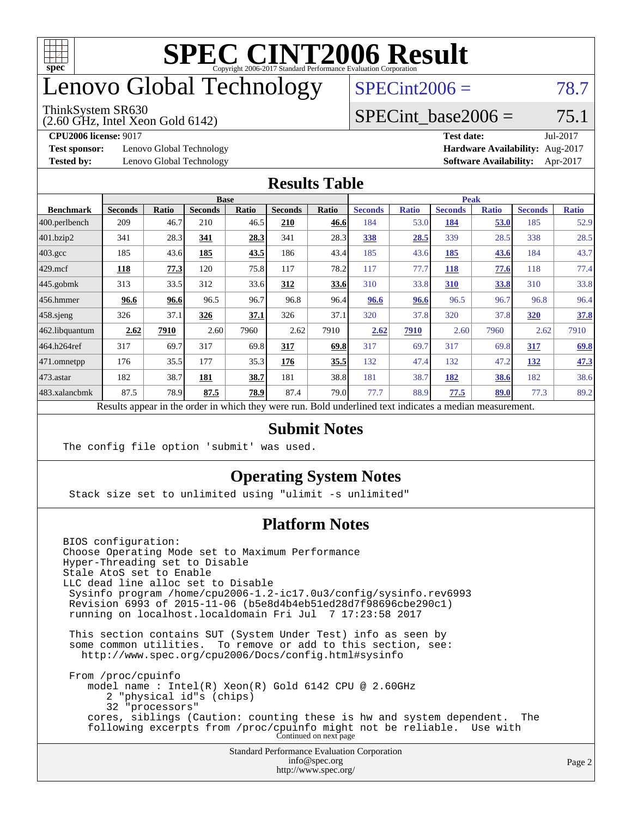

### enovo Global Technology

#### ThinkSystem SR630

(2.60 GHz, Intel Xeon Gold 6142)

 $SPECint2006 = 78.7$  $SPECint2006 = 78.7$ 

#### SPECint base2006 =  $75.1$

**[Test sponsor:](http://www.spec.org/auto/cpu2006/Docs/result-fields.html#Testsponsor)** Lenovo Global Technology **[Hardware Availability:](http://www.spec.org/auto/cpu2006/Docs/result-fields.html#HardwareAvailability)** Aug-2017

**[CPU2006 license:](http://www.spec.org/auto/cpu2006/Docs/result-fields.html#CPU2006license)** 9017 **[Test date:](http://www.spec.org/auto/cpu2006/Docs/result-fields.html#Testdate)** Jul-2017 **[Tested by:](http://www.spec.org/auto/cpu2006/Docs/result-fields.html#Testedby)** Lenovo Global Technology **[Software Availability:](http://www.spec.org/auto/cpu2006/Docs/result-fields.html#SoftwareAvailability)** Apr-2017

#### **[Results Table](http://www.spec.org/auto/cpu2006/Docs/result-fields.html#ResultsTable)**

|                                                                                                          | <b>Base</b>    |              |                |              |                |       | <b>Peak</b>    |              |                |              |                |              |
|----------------------------------------------------------------------------------------------------------|----------------|--------------|----------------|--------------|----------------|-------|----------------|--------------|----------------|--------------|----------------|--------------|
| <b>Benchmark</b>                                                                                         | <b>Seconds</b> | <b>Ratio</b> | <b>Seconds</b> | <b>Ratio</b> | <b>Seconds</b> | Ratio | <b>Seconds</b> | <b>Ratio</b> | <b>Seconds</b> | <b>Ratio</b> | <b>Seconds</b> | <b>Ratio</b> |
| $ 400$ .perlbench                                                                                        | 209            | 46.7         | 210            | 46.5         | 210            | 46.6  | 184            | 53.0         | 184            | 53.0         | 185            | 52.9         |
| 401.bzip2                                                                                                | 341            | 28.3         | 341            | 28.3         | 341            | 28.3  | 338            | 28.5         | 339            | 28.5         | 338            | 28.5         |
| $403.\text{gcc}$                                                                                         | 185            | 43.6         | 185            | 43.5         | 186            | 43.4  | 185            | 43.6         | 185            | 43.6         | 184            | 43.7         |
| $429$ .mcf                                                                                               | 118            | 77.3         | 120            | 75.8         | 117            | 78.2  | 117            | 77.7         | 118            | 77.6         | 118            | 77.4         |
| $445$ .gobmk                                                                                             | 313            | 33.5         | 312            | 33.6         | 312            | 33.6  | 310            | 33.8         | 310            | 33.8         | 310            | 33.8         |
| $456.$ hmmer                                                                                             | 96.6           | 96.6         | 96.5           | 96.7         | 96.8           | 96.4  | 96.6           | 96.6         | 96.5           | 96.7         | 96.8           | 96.4         |
| $458$ .sjeng                                                                                             | 326            | 37.1         | 326            | 37.1         | 326            | 37.1  | 320            | 37.8         | 320            | 37.8         | 320            | 37.8         |
| 462.libquantum                                                                                           | 2.62           | 7910         | 2.60           | 7960         | 2.62           | 7910  | 2.62           | 7910         | 2.60           | 7960         | 2.62           | 7910         |
| 464.h264ref                                                                                              | 317            | 69.7         | 317            | 69.8         | 317            | 69.8  | 317            | 69.7         | 317            | 69.8         | 317            | 69.8         |
| 471.omnetpp                                                                                              | 176            | 35.5         | 177            | 35.3         | 176            | 35.5  | 132            | 47.4         | 132            | 47.2         | 132            | 47.3         |
| $473$ . astar                                                                                            | 182            | 38.7         | 181            | 38.7         | 181            | 38.8  | 181            | 38.7         | 182            | 38.6         | 182            | 38.6         |
| 483.xalancbmk                                                                                            | 87.5           | 78.9         | 87.5           | 78.9         | 87.4           | 79.0  | 77.7           | 88.9         | 77.5           | 89.0         | 77.3           | 89.2         |
| Results appear in the order in which they were run. Bold underlined text indicates a median measurement. |                |              |                |              |                |       |                |              |                |              |                |              |

#### **[Submit Notes](http://www.spec.org/auto/cpu2006/Docs/result-fields.html#SubmitNotes)**

The config file option 'submit' was used.

#### **[Operating System Notes](http://www.spec.org/auto/cpu2006/Docs/result-fields.html#OperatingSystemNotes)**

Stack size set to unlimited using "ulimit -s unlimited"

#### **[Platform Notes](http://www.spec.org/auto/cpu2006/Docs/result-fields.html#PlatformNotes)**

Standard Performance Evaluation Corporation [info@spec.org](mailto:info@spec.org) BIOS configuration: Choose Operating Mode set to Maximum Performance Hyper-Threading set to Disable Stale AtoS set to Enable LLC dead line alloc set to Disable Sysinfo program /home/cpu2006-1.2-ic17.0u3/config/sysinfo.rev6993 Revision 6993 of 2015-11-06 (b5e8d4b4eb51ed28d7f98696cbe290c1) running on localhost.localdomain Fri Jul 7 17:23:58 2017 This section contains SUT (System Under Test) info as seen by some common utilities. To remove or add to this section, see: <http://www.spec.org/cpu2006/Docs/config.html#sysinfo> From /proc/cpuinfo model name : Intel(R) Xeon(R) Gold 6142 CPU @ 2.60GHz 2 "physical id"s (chips) 32 "processors" cores, siblings (Caution: counting these is hw and system dependent. The following excerpts from /proc/cpuinfo might not be reliable. Use with Continued on next page

<http://www.spec.org/>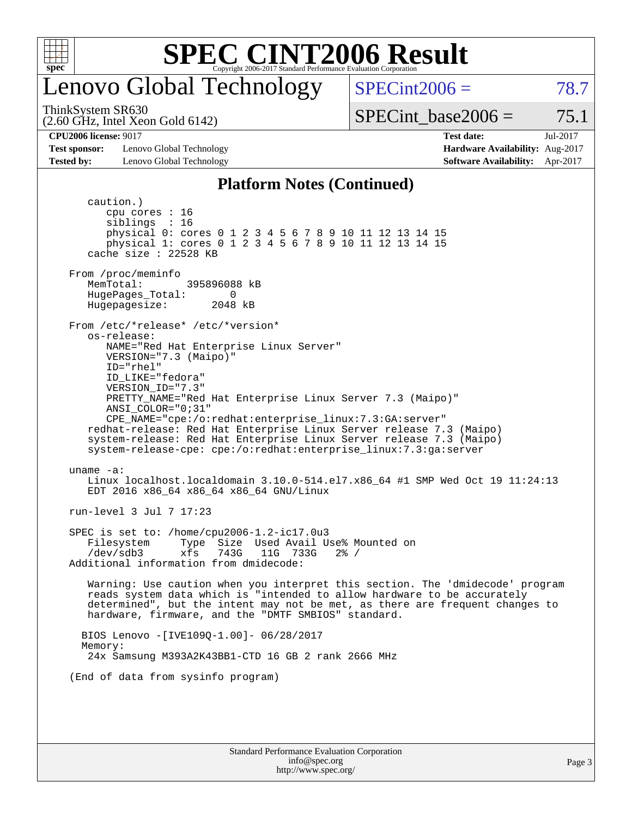

### enovo Global Technology

ThinkSystem SR630

(2.60 GHz, Intel Xeon Gold 6142)

 $SPECint2006 = 78.7$  $SPECint2006 = 78.7$ 

Page 3

SPECint base2006 =  $75.1$ 

**[Test sponsor:](http://www.spec.org/auto/cpu2006/Docs/result-fields.html#Testsponsor)** Lenovo Global Technology **[Hardware Availability:](http://www.spec.org/auto/cpu2006/Docs/result-fields.html#HardwareAvailability)** Aug-2017 **[Tested by:](http://www.spec.org/auto/cpu2006/Docs/result-fields.html#Testedby)** Lenovo Global Technology **[Software Availability:](http://www.spec.org/auto/cpu2006/Docs/result-fields.html#SoftwareAvailability)** Apr-2017

**[CPU2006 license:](http://www.spec.org/auto/cpu2006/Docs/result-fields.html#CPU2006license)** 9017 **[Test date:](http://www.spec.org/auto/cpu2006/Docs/result-fields.html#Testdate)** Jul-2017

#### **[Platform Notes \(Continued\)](http://www.spec.org/auto/cpu2006/Docs/result-fields.html#PlatformNotes)**

Standard Performance Evaluation Corporation [info@spec.org](mailto:info@spec.org) caution.) cpu cores : 16 siblings : 16 physical 0: cores 0 1 2 3 4 5 6 7 8 9 10 11 12 13 14 15 physical 1: cores 0 1 2 3 4 5 6 7 8 9 10 11 12 13 14 15 cache size : 22528 KB From /proc/meminfo MemTotal: 395896088 kB HugePages\_Total: 0<br>Hugepagesize: 2048 kB Hugepagesize: From /etc/\*release\* /etc/\*version\* os-release: NAME="Red Hat Enterprise Linux Server" VERSION="7.3 (Maipo)" ID="rhel" ID\_LIKE="fedora" VERSION\_ID="7.3" PRETTY\_NAME="Red Hat Enterprise Linux Server 7.3 (Maipo)" ANSI\_COLOR="0;31" CPE\_NAME="cpe:/o:redhat:enterprise\_linux:7.3:GA:server" redhat-release: Red Hat Enterprise Linux Server release 7.3 (Maipo) system-release: Red Hat Enterprise Linux Server release 7.3 (Maipo) system-release-cpe: cpe:/o:redhat:enterprise\_linux:7.3:ga:server uname -a: Linux localhost.localdomain 3.10.0-514.el7.x86\_64 #1 SMP Wed Oct 19 11:24:13 EDT 2016 x86\_64 x86\_64 x86\_64 GNU/Linux run-level 3 Jul 7 17:23 SPEC is set to: /home/cpu2006-1.2-ic17.0u3 Filesystem Type Size Used Avail Use% Mounted on<br>
/dev/sdb3 xfs 743G 11G 733G 2% / /dev/sdb3 xfs 743G 11G 733G 2% / Additional information from dmidecode: Warning: Use caution when you interpret this section. The 'dmidecode' program reads system data which is "intended to allow hardware to be accurately determined", but the intent may not be met, as there are frequent changes to hardware, firmware, and the "DMTF SMBIOS" standard. BIOS Lenovo -[IVE109Q-1.00]- 06/28/2017 Memory: 24x Samsung M393A2K43BB1-CTD 16 GB 2 rank 2666 MHz (End of data from sysinfo program)

<http://www.spec.org/>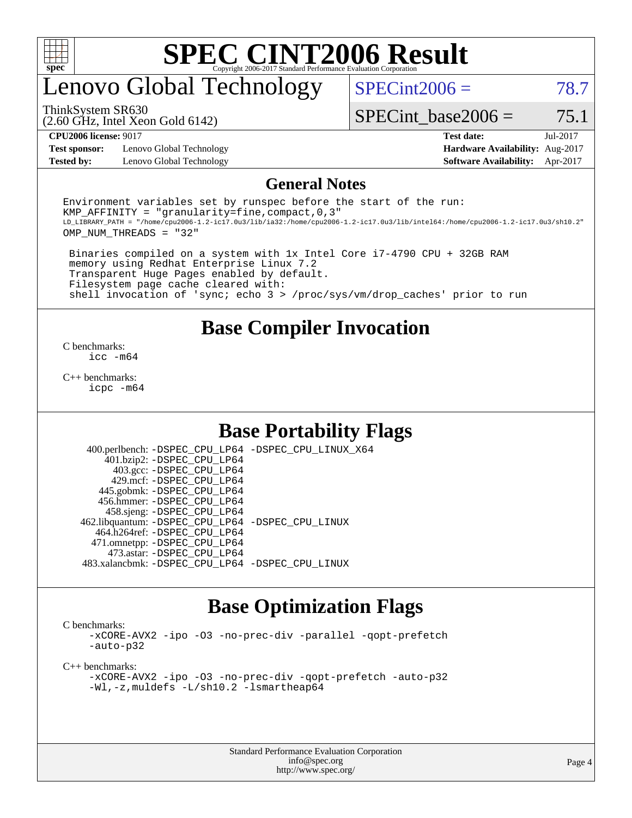

### enovo Global Technology

 $SPECint2006 = 78.7$  $SPECint2006 = 78.7$ 

ThinkSystem SR630

(2.60 GHz, Intel Xeon Gold 6142)

SPECint base2006 =  $75.1$ 

**[Test sponsor:](http://www.spec.org/auto/cpu2006/Docs/result-fields.html#Testsponsor)** Lenovo Global Technology **[Hardware Availability:](http://www.spec.org/auto/cpu2006/Docs/result-fields.html#HardwareAvailability)** Aug-2017 **[Tested by:](http://www.spec.org/auto/cpu2006/Docs/result-fields.html#Testedby)** Lenovo Global Technology **[Software Availability:](http://www.spec.org/auto/cpu2006/Docs/result-fields.html#SoftwareAvailability)** Apr-2017

**[CPU2006 license:](http://www.spec.org/auto/cpu2006/Docs/result-fields.html#CPU2006license)** 9017 **[Test date:](http://www.spec.org/auto/cpu2006/Docs/result-fields.html#Testdate)** Jul-2017

#### **[General Notes](http://www.spec.org/auto/cpu2006/Docs/result-fields.html#GeneralNotes)**

Environment variables set by runspec before the start of the run: KMP AFFINITY = "granularity=fine, compact,  $0,3$ " LD\_LIBRARY\_PATH = "/home/cpu2006-1.2-ic17.0u3/lib/ia32:/home/cpu2006-1.2-ic17.0u3/lib/intel64:/home/cpu2006-1.2-ic17.0u3/sh10.2" OMP\_NUM\_THREADS = "32"

 Binaries compiled on a system with 1x Intel Core i7-4790 CPU + 32GB RAM memory using Redhat Enterprise Linux 7.2 Transparent Huge Pages enabled by default. Filesystem page cache cleared with: shell invocation of 'sync; echo 3 > /proc/sys/vm/drop\_caches' prior to run

#### **[Base Compiler Invocation](http://www.spec.org/auto/cpu2006/Docs/result-fields.html#BaseCompilerInvocation)**

[C benchmarks](http://www.spec.org/auto/cpu2006/Docs/result-fields.html#Cbenchmarks): [icc -m64](http://www.spec.org/cpu2006/results/res2017q4/cpu2006-20170918-49499.flags.html#user_CCbase_intel_icc_64bit_bda6cc9af1fdbb0edc3795bac97ada53)

[C++ benchmarks:](http://www.spec.org/auto/cpu2006/Docs/result-fields.html#CXXbenchmarks) [icpc -m64](http://www.spec.org/cpu2006/results/res2017q4/cpu2006-20170918-49499.flags.html#user_CXXbase_intel_icpc_64bit_fc66a5337ce925472a5c54ad6a0de310)

#### **[Base Portability Flags](http://www.spec.org/auto/cpu2006/Docs/result-fields.html#BasePortabilityFlags)**

 400.perlbench: [-DSPEC\\_CPU\\_LP64](http://www.spec.org/cpu2006/results/res2017q4/cpu2006-20170918-49499.flags.html#b400.perlbench_basePORTABILITY_DSPEC_CPU_LP64) [-DSPEC\\_CPU\\_LINUX\\_X64](http://www.spec.org/cpu2006/results/res2017q4/cpu2006-20170918-49499.flags.html#b400.perlbench_baseCPORTABILITY_DSPEC_CPU_LINUX_X64) 401.bzip2: [-DSPEC\\_CPU\\_LP64](http://www.spec.org/cpu2006/results/res2017q4/cpu2006-20170918-49499.flags.html#suite_basePORTABILITY401_bzip2_DSPEC_CPU_LP64) 403.gcc: [-DSPEC\\_CPU\\_LP64](http://www.spec.org/cpu2006/results/res2017q4/cpu2006-20170918-49499.flags.html#suite_basePORTABILITY403_gcc_DSPEC_CPU_LP64) 429.mcf: [-DSPEC\\_CPU\\_LP64](http://www.spec.org/cpu2006/results/res2017q4/cpu2006-20170918-49499.flags.html#suite_basePORTABILITY429_mcf_DSPEC_CPU_LP64) 445.gobmk: [-DSPEC\\_CPU\\_LP64](http://www.spec.org/cpu2006/results/res2017q4/cpu2006-20170918-49499.flags.html#suite_basePORTABILITY445_gobmk_DSPEC_CPU_LP64) 456.hmmer: [-DSPEC\\_CPU\\_LP64](http://www.spec.org/cpu2006/results/res2017q4/cpu2006-20170918-49499.flags.html#suite_basePORTABILITY456_hmmer_DSPEC_CPU_LP64) 458.sjeng: [-DSPEC\\_CPU\\_LP64](http://www.spec.org/cpu2006/results/res2017q4/cpu2006-20170918-49499.flags.html#suite_basePORTABILITY458_sjeng_DSPEC_CPU_LP64) 462.libquantum: [-DSPEC\\_CPU\\_LP64](http://www.spec.org/cpu2006/results/res2017q4/cpu2006-20170918-49499.flags.html#suite_basePORTABILITY462_libquantum_DSPEC_CPU_LP64) [-DSPEC\\_CPU\\_LINUX](http://www.spec.org/cpu2006/results/res2017q4/cpu2006-20170918-49499.flags.html#b462.libquantum_baseCPORTABILITY_DSPEC_CPU_LINUX) 464.h264ref: [-DSPEC\\_CPU\\_LP64](http://www.spec.org/cpu2006/results/res2017q4/cpu2006-20170918-49499.flags.html#suite_basePORTABILITY464_h264ref_DSPEC_CPU_LP64) 471.omnetpp: [-DSPEC\\_CPU\\_LP64](http://www.spec.org/cpu2006/results/res2017q4/cpu2006-20170918-49499.flags.html#suite_basePORTABILITY471_omnetpp_DSPEC_CPU_LP64) 473.astar: [-DSPEC\\_CPU\\_LP64](http://www.spec.org/cpu2006/results/res2017q4/cpu2006-20170918-49499.flags.html#suite_basePORTABILITY473_astar_DSPEC_CPU_LP64) 483.xalancbmk: [-DSPEC\\_CPU\\_LP64](http://www.spec.org/cpu2006/results/res2017q4/cpu2006-20170918-49499.flags.html#suite_basePORTABILITY483_xalancbmk_DSPEC_CPU_LP64) [-DSPEC\\_CPU\\_LINUX](http://www.spec.org/cpu2006/results/res2017q4/cpu2006-20170918-49499.flags.html#b483.xalancbmk_baseCXXPORTABILITY_DSPEC_CPU_LINUX)

#### **[Base Optimization Flags](http://www.spec.org/auto/cpu2006/Docs/result-fields.html#BaseOptimizationFlags)**

[C benchmarks](http://www.spec.org/auto/cpu2006/Docs/result-fields.html#Cbenchmarks):

[-xCORE-AVX2](http://www.spec.org/cpu2006/results/res2017q4/cpu2006-20170918-49499.flags.html#user_CCbase_f-xCORE-AVX2) [-ipo](http://www.spec.org/cpu2006/results/res2017q4/cpu2006-20170918-49499.flags.html#user_CCbase_f-ipo) [-O3](http://www.spec.org/cpu2006/results/res2017q4/cpu2006-20170918-49499.flags.html#user_CCbase_f-O3) [-no-prec-div](http://www.spec.org/cpu2006/results/res2017q4/cpu2006-20170918-49499.flags.html#user_CCbase_f-no-prec-div) [-parallel](http://www.spec.org/cpu2006/results/res2017q4/cpu2006-20170918-49499.flags.html#user_CCbase_f-parallel) [-qopt-prefetch](http://www.spec.org/cpu2006/results/res2017q4/cpu2006-20170918-49499.flags.html#user_CCbase_f-qopt-prefetch) [-auto-p32](http://www.spec.org/cpu2006/results/res2017q4/cpu2006-20170918-49499.flags.html#user_CCbase_f-auto-p32)

[C++ benchmarks:](http://www.spec.org/auto/cpu2006/Docs/result-fields.html#CXXbenchmarks)

```
-xCORE-AVX2 -ipo -O3 -no-prec-div -qopt-prefetch -auto-p32
-Wl,-z,muldefs -L/sh10.2 -lsmartheap64
```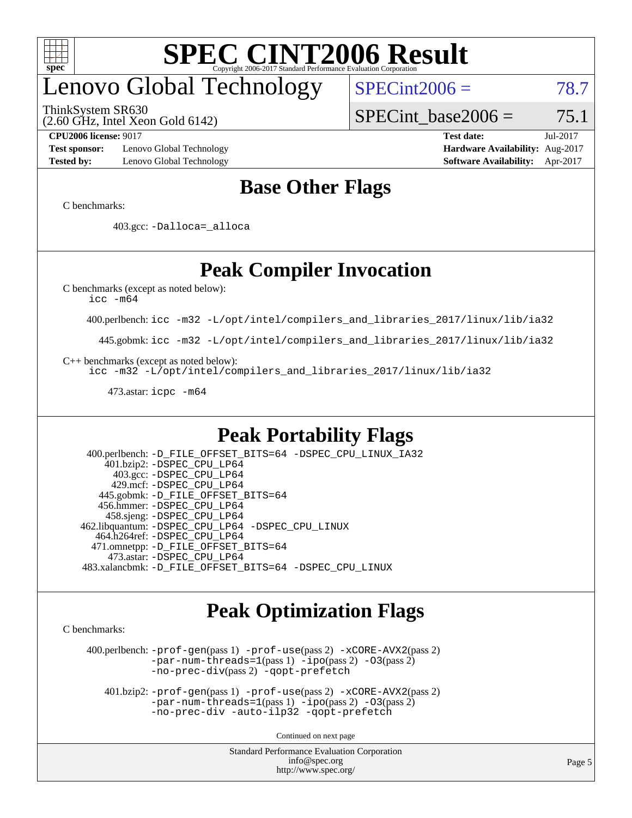

# enovo Global Technology

ThinkSystem SR630

 $SPECint2006 = 78.7$  $SPECint2006 = 78.7$ 

(2.60 GHz, Intel Xeon Gold 6142)

SPECint base2006 =  $75.1$ 

**[Test sponsor:](http://www.spec.org/auto/cpu2006/Docs/result-fields.html#Testsponsor)** Lenovo Global Technology **[Hardware Availability:](http://www.spec.org/auto/cpu2006/Docs/result-fields.html#HardwareAvailability)** Aug-2017 **[Tested by:](http://www.spec.org/auto/cpu2006/Docs/result-fields.html#Testedby)** Lenovo Global Technology **[Software Availability:](http://www.spec.org/auto/cpu2006/Docs/result-fields.html#SoftwareAvailability)** Apr-2017

**[CPU2006 license:](http://www.spec.org/auto/cpu2006/Docs/result-fields.html#CPU2006license)** 9017 **[Test date:](http://www.spec.org/auto/cpu2006/Docs/result-fields.html#Testdate)** Jul-2017

#### **[Base Other Flags](http://www.spec.org/auto/cpu2006/Docs/result-fields.html#BaseOtherFlags)**

[C benchmarks](http://www.spec.org/auto/cpu2006/Docs/result-fields.html#Cbenchmarks):

403.gcc: [-Dalloca=\\_alloca](http://www.spec.org/cpu2006/results/res2017q4/cpu2006-20170918-49499.flags.html#b403.gcc_baseEXTRA_CFLAGS_Dalloca_be3056838c12de2578596ca5467af7f3)

### **[Peak Compiler Invocation](http://www.spec.org/auto/cpu2006/Docs/result-fields.html#PeakCompilerInvocation)**

[C benchmarks \(except as noted below\)](http://www.spec.org/auto/cpu2006/Docs/result-fields.html#Cbenchmarksexceptasnotedbelow):

[icc -m64](http://www.spec.org/cpu2006/results/res2017q4/cpu2006-20170918-49499.flags.html#user_CCpeak_intel_icc_64bit_bda6cc9af1fdbb0edc3795bac97ada53)

400.perlbench: [icc -m32 -L/opt/intel/compilers\\_and\\_libraries\\_2017/linux/lib/ia32](http://www.spec.org/cpu2006/results/res2017q4/cpu2006-20170918-49499.flags.html#user_peakCCLD400_perlbench_intel_icc_c29f3ff5a7ed067b11e4ec10a03f03ae)

445.gobmk: [icc -m32 -L/opt/intel/compilers\\_and\\_libraries\\_2017/linux/lib/ia32](http://www.spec.org/cpu2006/results/res2017q4/cpu2006-20170918-49499.flags.html#user_peakCCLD445_gobmk_intel_icc_c29f3ff5a7ed067b11e4ec10a03f03ae)

[C++ benchmarks \(except as noted below\):](http://www.spec.org/auto/cpu2006/Docs/result-fields.html#CXXbenchmarksexceptasnotedbelow)

[icc -m32 -L/opt/intel/compilers\\_and\\_libraries\\_2017/linux/lib/ia32](http://www.spec.org/cpu2006/results/res2017q4/cpu2006-20170918-49499.flags.html#user_CXXpeak_intel_icc_c29f3ff5a7ed067b11e4ec10a03f03ae)

473.astar: [icpc -m64](http://www.spec.org/cpu2006/results/res2017q4/cpu2006-20170918-49499.flags.html#user_peakCXXLD473_astar_intel_icpc_64bit_fc66a5337ce925472a5c54ad6a0de310)

#### **[Peak Portability Flags](http://www.spec.org/auto/cpu2006/Docs/result-fields.html#PeakPortabilityFlags)**

 400.perlbench: [-D\\_FILE\\_OFFSET\\_BITS=64](http://www.spec.org/cpu2006/results/res2017q4/cpu2006-20170918-49499.flags.html#user_peakPORTABILITY400_perlbench_file_offset_bits_64_438cf9856305ebd76870a2c6dc2689ab) [-DSPEC\\_CPU\\_LINUX\\_IA32](http://www.spec.org/cpu2006/results/res2017q4/cpu2006-20170918-49499.flags.html#b400.perlbench_peakCPORTABILITY_DSPEC_CPU_LINUX_IA32) 401.bzip2: [-DSPEC\\_CPU\\_LP64](http://www.spec.org/cpu2006/results/res2017q4/cpu2006-20170918-49499.flags.html#suite_peakPORTABILITY401_bzip2_DSPEC_CPU_LP64) 403.gcc: [-DSPEC\\_CPU\\_LP64](http://www.spec.org/cpu2006/results/res2017q4/cpu2006-20170918-49499.flags.html#suite_peakPORTABILITY403_gcc_DSPEC_CPU_LP64) 429.mcf: [-DSPEC\\_CPU\\_LP64](http://www.spec.org/cpu2006/results/res2017q4/cpu2006-20170918-49499.flags.html#suite_peakPORTABILITY429_mcf_DSPEC_CPU_LP64) 445.gobmk: [-D\\_FILE\\_OFFSET\\_BITS=64](http://www.spec.org/cpu2006/results/res2017q4/cpu2006-20170918-49499.flags.html#user_peakPORTABILITY445_gobmk_file_offset_bits_64_438cf9856305ebd76870a2c6dc2689ab) 456.hmmer: [-DSPEC\\_CPU\\_LP64](http://www.spec.org/cpu2006/results/res2017q4/cpu2006-20170918-49499.flags.html#suite_peakPORTABILITY456_hmmer_DSPEC_CPU_LP64) 458.sjeng: [-DSPEC\\_CPU\\_LP64](http://www.spec.org/cpu2006/results/res2017q4/cpu2006-20170918-49499.flags.html#suite_peakPORTABILITY458_sjeng_DSPEC_CPU_LP64) 462.libquantum: [-DSPEC\\_CPU\\_LP64](http://www.spec.org/cpu2006/results/res2017q4/cpu2006-20170918-49499.flags.html#suite_peakPORTABILITY462_libquantum_DSPEC_CPU_LP64) [-DSPEC\\_CPU\\_LINUX](http://www.spec.org/cpu2006/results/res2017q4/cpu2006-20170918-49499.flags.html#b462.libquantum_peakCPORTABILITY_DSPEC_CPU_LINUX) 464.h264ref: [-DSPEC\\_CPU\\_LP64](http://www.spec.org/cpu2006/results/res2017q4/cpu2006-20170918-49499.flags.html#suite_peakPORTABILITY464_h264ref_DSPEC_CPU_LP64) 471.omnetpp: [-D\\_FILE\\_OFFSET\\_BITS=64](http://www.spec.org/cpu2006/results/res2017q4/cpu2006-20170918-49499.flags.html#user_peakPORTABILITY471_omnetpp_file_offset_bits_64_438cf9856305ebd76870a2c6dc2689ab) 473.astar: [-DSPEC\\_CPU\\_LP64](http://www.spec.org/cpu2006/results/res2017q4/cpu2006-20170918-49499.flags.html#suite_peakPORTABILITY473_astar_DSPEC_CPU_LP64) 483.xalancbmk: [-D\\_FILE\\_OFFSET\\_BITS=64](http://www.spec.org/cpu2006/results/res2017q4/cpu2006-20170918-49499.flags.html#user_peakPORTABILITY483_xalancbmk_file_offset_bits_64_438cf9856305ebd76870a2c6dc2689ab) [-DSPEC\\_CPU\\_LINUX](http://www.spec.org/cpu2006/results/res2017q4/cpu2006-20170918-49499.flags.html#b483.xalancbmk_peakCXXPORTABILITY_DSPEC_CPU_LINUX)

#### **[Peak Optimization Flags](http://www.spec.org/auto/cpu2006/Docs/result-fields.html#PeakOptimizationFlags)**

[C benchmarks](http://www.spec.org/auto/cpu2006/Docs/result-fields.html#Cbenchmarks):

 400.perlbench: [-prof-gen](http://www.spec.org/cpu2006/results/res2017q4/cpu2006-20170918-49499.flags.html#user_peakPASS1_CFLAGSPASS1_LDCFLAGS400_perlbench_prof_gen_e43856698f6ca7b7e442dfd80e94a8fc)(pass 1) [-prof-use](http://www.spec.org/cpu2006/results/res2017q4/cpu2006-20170918-49499.flags.html#user_peakPASS2_CFLAGSPASS2_LDCFLAGS400_perlbench_prof_use_bccf7792157ff70d64e32fe3e1250b55)(pass 2) [-xCORE-AVX2](http://www.spec.org/cpu2006/results/res2017q4/cpu2006-20170918-49499.flags.html#user_peakPASS2_CFLAGSPASS2_LDCFLAGS400_perlbench_f-xCORE-AVX2)(pass 2) [-par-num-threads=1](http://www.spec.org/cpu2006/results/res2017q4/cpu2006-20170918-49499.flags.html#user_peakPASS1_CFLAGSPASS1_LDCFLAGS400_perlbench_par_num_threads_786a6ff141b4e9e90432e998842df6c2)(pass 1) [-ipo](http://www.spec.org/cpu2006/results/res2017q4/cpu2006-20170918-49499.flags.html#user_peakPASS2_CFLAGSPASS2_LDCFLAGS400_perlbench_f-ipo)(pass 2) [-O3](http://www.spec.org/cpu2006/results/res2017q4/cpu2006-20170918-49499.flags.html#user_peakPASS2_CFLAGSPASS2_LDCFLAGS400_perlbench_f-O3)(pass 2) [-no-prec-div](http://www.spec.org/cpu2006/results/res2017q4/cpu2006-20170918-49499.flags.html#user_peakPASS2_CFLAGSPASS2_LDCFLAGS400_perlbench_f-no-prec-div)(pass 2) [-qopt-prefetch](http://www.spec.org/cpu2006/results/res2017q4/cpu2006-20170918-49499.flags.html#user_peakCOPTIMIZE400_perlbench_f-qopt-prefetch)

 401.bzip2: [-prof-gen](http://www.spec.org/cpu2006/results/res2017q4/cpu2006-20170918-49499.flags.html#user_peakPASS1_CFLAGSPASS1_LDCFLAGS401_bzip2_prof_gen_e43856698f6ca7b7e442dfd80e94a8fc)(pass 1) [-prof-use](http://www.spec.org/cpu2006/results/res2017q4/cpu2006-20170918-49499.flags.html#user_peakPASS2_CFLAGSPASS2_LDCFLAGS401_bzip2_prof_use_bccf7792157ff70d64e32fe3e1250b55)(pass 2) [-xCORE-AVX2](http://www.spec.org/cpu2006/results/res2017q4/cpu2006-20170918-49499.flags.html#user_peakPASS2_CFLAGSPASS2_LDCFLAGS401_bzip2_f-xCORE-AVX2)(pass 2)  $-par-num-threads=1(pass 1) -ipo(pass 2) -O3(pass 2)$  $-par-num-threads=1(pass 1) -ipo(pass 2) -O3(pass 2)$  $-par-num-threads=1(pass 1) -ipo(pass 2) -O3(pass 2)$  $-par-num-threads=1(pass 1) -ipo(pass 2) -O3(pass 2)$  $-par-num-threads=1(pass 1) -ipo(pass 2) -O3(pass 2)$  $-par-num-threads=1(pass 1) -ipo(pass 2) -O3(pass 2)$ [-no-prec-div](http://www.spec.org/cpu2006/results/res2017q4/cpu2006-20170918-49499.flags.html#user_peakCOPTIMIZEPASS2_CFLAGSPASS2_LDCFLAGS401_bzip2_f-no-prec-div) [-auto-ilp32](http://www.spec.org/cpu2006/results/res2017q4/cpu2006-20170918-49499.flags.html#user_peakCOPTIMIZE401_bzip2_f-auto-ilp32) [-qopt-prefetch](http://www.spec.org/cpu2006/results/res2017q4/cpu2006-20170918-49499.flags.html#user_peakCOPTIMIZE401_bzip2_f-qopt-prefetch)

Continued on next page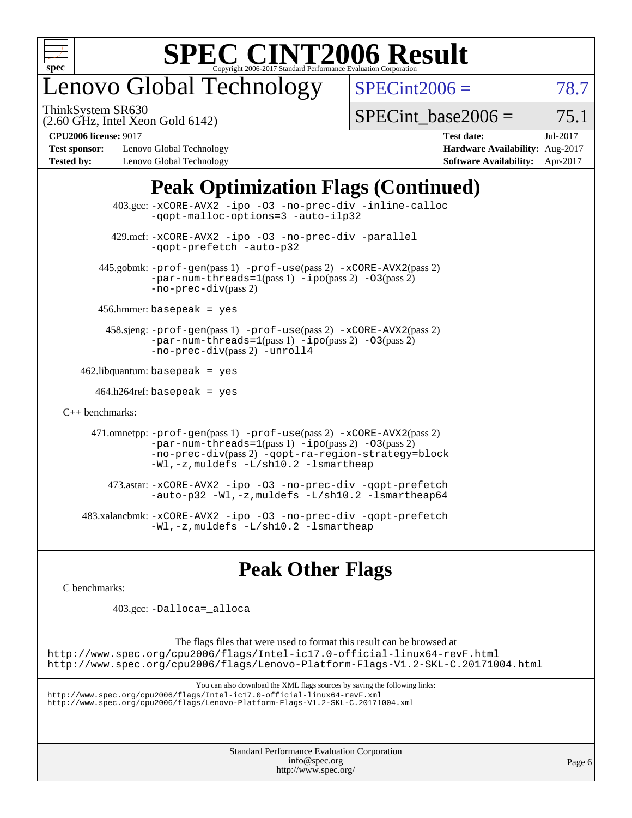

# enovo Global Technology

ThinkSystem SR630

 $SPECint2006 = 78.7$  $SPECint2006 = 78.7$ 

(2.60 GHz, Intel Xeon Gold 6142)

SPECint base2006 =  $75.1$ 

**[Test sponsor:](http://www.spec.org/auto/cpu2006/Docs/result-fields.html#Testsponsor)** Lenovo Global Technology **[Hardware Availability:](http://www.spec.org/auto/cpu2006/Docs/result-fields.html#HardwareAvailability)** Aug-2017 **[Tested by:](http://www.spec.org/auto/cpu2006/Docs/result-fields.html#Testedby)** Lenovo Global Technology **[Software Availability:](http://www.spec.org/auto/cpu2006/Docs/result-fields.html#SoftwareAvailability)** Apr-2017

**[CPU2006 license:](http://www.spec.org/auto/cpu2006/Docs/result-fields.html#CPU2006license)** 9017 **[Test date:](http://www.spec.org/auto/cpu2006/Docs/result-fields.html#Testdate)** Jul-2017

### **[Peak Optimization Flags \(Continued\)](http://www.spec.org/auto/cpu2006/Docs/result-fields.html#PeakOptimizationFlags)**

 403.gcc: [-xCORE-AVX2](http://www.spec.org/cpu2006/results/res2017q4/cpu2006-20170918-49499.flags.html#user_peakOPTIMIZE403_gcc_f-xCORE-AVX2) [-ipo](http://www.spec.org/cpu2006/results/res2017q4/cpu2006-20170918-49499.flags.html#user_peakOPTIMIZE403_gcc_f-ipo) [-O3](http://www.spec.org/cpu2006/results/res2017q4/cpu2006-20170918-49499.flags.html#user_peakOPTIMIZE403_gcc_f-O3) [-no-prec-div](http://www.spec.org/cpu2006/results/res2017q4/cpu2006-20170918-49499.flags.html#user_peakOPTIMIZE403_gcc_f-no-prec-div) [-inline-calloc](http://www.spec.org/cpu2006/results/res2017q4/cpu2006-20170918-49499.flags.html#user_peakCOPTIMIZE403_gcc_f-inline-calloc) [-qopt-malloc-options=3](http://www.spec.org/cpu2006/results/res2017q4/cpu2006-20170918-49499.flags.html#user_peakCOPTIMIZE403_gcc_f-qopt-malloc-options_0fcb435012e78f27d57f473818e45fe4) [-auto-ilp32](http://www.spec.org/cpu2006/results/res2017q4/cpu2006-20170918-49499.flags.html#user_peakCOPTIMIZE403_gcc_f-auto-ilp32) 429.mcf: [-xCORE-AVX2](http://www.spec.org/cpu2006/results/res2017q4/cpu2006-20170918-49499.flags.html#user_peakOPTIMIZE429_mcf_f-xCORE-AVX2) [-ipo](http://www.spec.org/cpu2006/results/res2017q4/cpu2006-20170918-49499.flags.html#user_peakOPTIMIZE429_mcf_f-ipo) [-O3](http://www.spec.org/cpu2006/results/res2017q4/cpu2006-20170918-49499.flags.html#user_peakOPTIMIZE429_mcf_f-O3) [-no-prec-div](http://www.spec.org/cpu2006/results/res2017q4/cpu2006-20170918-49499.flags.html#user_peakOPTIMIZE429_mcf_f-no-prec-div) [-parallel](http://www.spec.org/cpu2006/results/res2017q4/cpu2006-20170918-49499.flags.html#user_peakCOPTIMIZE429_mcf_f-parallel) [-qopt-prefetch](http://www.spec.org/cpu2006/results/res2017q4/cpu2006-20170918-49499.flags.html#user_peakCOPTIMIZE429_mcf_f-qopt-prefetch) [-auto-p32](http://www.spec.org/cpu2006/results/res2017q4/cpu2006-20170918-49499.flags.html#user_peakCOPTIMIZE429_mcf_f-auto-p32) 445.gobmk: [-prof-gen](http://www.spec.org/cpu2006/results/res2017q4/cpu2006-20170918-49499.flags.html#user_peakPASS1_CFLAGSPASS1_LDCFLAGS445_gobmk_prof_gen_e43856698f6ca7b7e442dfd80e94a8fc)(pass 1) [-prof-use](http://www.spec.org/cpu2006/results/res2017q4/cpu2006-20170918-49499.flags.html#user_peakPASS2_CFLAGSPASS2_LDCFLAGS445_gobmk_prof_use_bccf7792157ff70d64e32fe3e1250b55)(pass 2) [-xCORE-AVX2](http://www.spec.org/cpu2006/results/res2017q4/cpu2006-20170918-49499.flags.html#user_peakPASS2_CFLAGSPASS2_LDCFLAGS445_gobmk_f-xCORE-AVX2)(pass 2)  $-par-num-threads=1(pass 1) -ipo(pass 2) -O3(pass 2)$  $-par-num-threads=1(pass 1) -ipo(pass 2) -O3(pass 2)$  $-par-num-threads=1(pass 1) -ipo(pass 2) -O3(pass 2)$  $-par-num-threads=1(pass 1) -ipo(pass 2) -O3(pass 2)$  $-par-num-threads=1(pass 1) -ipo(pass 2) -O3(pass 2)$  $-par-num-threads=1(pass 1) -ipo(pass 2) -O3(pass 2)$ [-no-prec-div](http://www.spec.org/cpu2006/results/res2017q4/cpu2006-20170918-49499.flags.html#user_peakPASS2_CFLAGSPASS2_LDCFLAGS445_gobmk_f-no-prec-div)(pass 2) 456.hmmer: basepeak = yes 458.sjeng: [-prof-gen](http://www.spec.org/cpu2006/results/res2017q4/cpu2006-20170918-49499.flags.html#user_peakPASS1_CFLAGSPASS1_LDCFLAGS458_sjeng_prof_gen_e43856698f6ca7b7e442dfd80e94a8fc)(pass 1) [-prof-use](http://www.spec.org/cpu2006/results/res2017q4/cpu2006-20170918-49499.flags.html#user_peakPASS2_CFLAGSPASS2_LDCFLAGS458_sjeng_prof_use_bccf7792157ff70d64e32fe3e1250b55)(pass 2) [-xCORE-AVX2](http://www.spec.org/cpu2006/results/res2017q4/cpu2006-20170918-49499.flags.html#user_peakPASS2_CFLAGSPASS2_LDCFLAGS458_sjeng_f-xCORE-AVX2)(pass 2) [-par-num-threads=1](http://www.spec.org/cpu2006/results/res2017q4/cpu2006-20170918-49499.flags.html#user_peakPASS1_CFLAGSPASS1_LDCFLAGS458_sjeng_par_num_threads_786a6ff141b4e9e90432e998842df6c2)(pass 1) [-ipo](http://www.spec.org/cpu2006/results/res2017q4/cpu2006-20170918-49499.flags.html#user_peakPASS2_CFLAGSPASS2_LDCFLAGS458_sjeng_f-ipo)(pass 2) [-O3](http://www.spec.org/cpu2006/results/res2017q4/cpu2006-20170918-49499.flags.html#user_peakPASS2_CFLAGSPASS2_LDCFLAGS458_sjeng_f-O3)(pass 2) [-no-prec-div](http://www.spec.org/cpu2006/results/res2017q4/cpu2006-20170918-49499.flags.html#user_peakPASS2_CFLAGSPASS2_LDCFLAGS458_sjeng_f-no-prec-div)(pass 2) [-unroll4](http://www.spec.org/cpu2006/results/res2017q4/cpu2006-20170918-49499.flags.html#user_peakCOPTIMIZE458_sjeng_f-unroll_4e5e4ed65b7fd20bdcd365bec371b81f)  $462$ .libquantum: basepeak = yes  $464.h264$ ref: basepeak = yes [C++ benchmarks:](http://www.spec.org/auto/cpu2006/Docs/result-fields.html#CXXbenchmarks) 471.omnetpp: [-prof-gen](http://www.spec.org/cpu2006/results/res2017q4/cpu2006-20170918-49499.flags.html#user_peakPASS1_CXXFLAGSPASS1_LDCXXFLAGS471_omnetpp_prof_gen_e43856698f6ca7b7e442dfd80e94a8fc)(pass 1) [-prof-use](http://www.spec.org/cpu2006/results/res2017q4/cpu2006-20170918-49499.flags.html#user_peakPASS2_CXXFLAGSPASS2_LDCXXFLAGS471_omnetpp_prof_use_bccf7792157ff70d64e32fe3e1250b55)(pass 2) [-xCORE-AVX2](http://www.spec.org/cpu2006/results/res2017q4/cpu2006-20170918-49499.flags.html#user_peakPASS2_CXXFLAGSPASS2_LDCXXFLAGS471_omnetpp_f-xCORE-AVX2)(pass 2)  $-par-num-threads=1(pass 1) -ipo(pass 2) -O3(pass 2)$  $-par-num-threads=1(pass 1) -ipo(pass 2) -O3(pass 2)$  $-par-num-threads=1(pass 1) -ipo(pass 2) -O3(pass 2)$  $-par-num-threads=1(pass 1) -ipo(pass 2) -O3(pass 2)$  $-par-num-threads=1(pass 1) -ipo(pass 2) -O3(pass 2)$  $-par-num-threads=1(pass 1) -ipo(pass 2) -O3(pass 2)$ [-no-prec-div](http://www.spec.org/cpu2006/results/res2017q4/cpu2006-20170918-49499.flags.html#user_peakPASS2_CXXFLAGSPASS2_LDCXXFLAGS471_omnetpp_f-no-prec-div)(pass 2) [-qopt-ra-region-strategy=block](http://www.spec.org/cpu2006/results/res2017q4/cpu2006-20170918-49499.flags.html#user_peakCXXOPTIMIZE471_omnetpp_f-qopt-ra-region-strategy_0f7b543d62da454b380160c0e3b28f94) [-Wl,-z,muldefs](http://www.spec.org/cpu2006/results/res2017q4/cpu2006-20170918-49499.flags.html#user_peakEXTRA_LDFLAGS471_omnetpp_link_force_multiple1_74079c344b956b9658436fd1b6dd3a8a) [-L/sh10.2 -lsmartheap](http://www.spec.org/cpu2006/results/res2017q4/cpu2006-20170918-49499.flags.html#user_peakEXTRA_LIBS471_omnetpp_SmartHeap_b831f2d313e2fffa6dfe3f00ffc1f1c0) 473.astar: [-xCORE-AVX2](http://www.spec.org/cpu2006/results/res2017q4/cpu2006-20170918-49499.flags.html#user_peakOPTIMIZE473_astar_f-xCORE-AVX2) [-ipo](http://www.spec.org/cpu2006/results/res2017q4/cpu2006-20170918-49499.flags.html#user_peakOPTIMIZE473_astar_f-ipo) [-O3](http://www.spec.org/cpu2006/results/res2017q4/cpu2006-20170918-49499.flags.html#user_peakOPTIMIZE473_astar_f-O3) [-no-prec-div](http://www.spec.org/cpu2006/results/res2017q4/cpu2006-20170918-49499.flags.html#user_peakOPTIMIZE473_astar_f-no-prec-div) [-qopt-prefetch](http://www.spec.org/cpu2006/results/res2017q4/cpu2006-20170918-49499.flags.html#user_peakCXXOPTIMIZE473_astar_f-qopt-prefetch) [-auto-p32](http://www.spec.org/cpu2006/results/res2017q4/cpu2006-20170918-49499.flags.html#user_peakCXXOPTIMIZE473_astar_f-auto-p32) [-Wl,-z,muldefs](http://www.spec.org/cpu2006/results/res2017q4/cpu2006-20170918-49499.flags.html#user_peakEXTRA_LDFLAGS473_astar_link_force_multiple1_74079c344b956b9658436fd1b6dd3a8a) [-L/sh10.2 -lsmartheap64](http://www.spec.org/cpu2006/results/res2017q4/cpu2006-20170918-49499.flags.html#user_peakEXTRA_LIBS473_astar_SmartHeap64_63911d860fc08c15fa1d5bf319b9d8d5) 483.xalancbmk: [-xCORE-AVX2](http://www.spec.org/cpu2006/results/res2017q4/cpu2006-20170918-49499.flags.html#user_peakOPTIMIZE483_xalancbmk_f-xCORE-AVX2) [-ipo](http://www.spec.org/cpu2006/results/res2017q4/cpu2006-20170918-49499.flags.html#user_peakOPTIMIZE483_xalancbmk_f-ipo) [-O3](http://www.spec.org/cpu2006/results/res2017q4/cpu2006-20170918-49499.flags.html#user_peakOPTIMIZE483_xalancbmk_f-O3) [-no-prec-div](http://www.spec.org/cpu2006/results/res2017q4/cpu2006-20170918-49499.flags.html#user_peakOPTIMIZE483_xalancbmk_f-no-prec-div) [-qopt-prefetch](http://www.spec.org/cpu2006/results/res2017q4/cpu2006-20170918-49499.flags.html#user_peakCXXOPTIMIZE483_xalancbmk_f-qopt-prefetch) [-Wl,-z,muldefs](http://www.spec.org/cpu2006/results/res2017q4/cpu2006-20170918-49499.flags.html#user_peakEXTRA_LDFLAGS483_xalancbmk_link_force_multiple1_74079c344b956b9658436fd1b6dd3a8a) [-L/sh10.2 -lsmartheap](http://www.spec.org/cpu2006/results/res2017q4/cpu2006-20170918-49499.flags.html#user_peakEXTRA_LIBS483_xalancbmk_SmartHeap_b831f2d313e2fffa6dfe3f00ffc1f1c0)

### **[Peak Other Flags](http://www.spec.org/auto/cpu2006/Docs/result-fields.html#PeakOtherFlags)**

[C benchmarks](http://www.spec.org/auto/cpu2006/Docs/result-fields.html#Cbenchmarks):

403.gcc: [-Dalloca=\\_alloca](http://www.spec.org/cpu2006/results/res2017q4/cpu2006-20170918-49499.flags.html#b403.gcc_peakEXTRA_CFLAGS_Dalloca_be3056838c12de2578596ca5467af7f3)

The flags files that were used to format this result can be browsed at <http://www.spec.org/cpu2006/flags/Intel-ic17.0-official-linux64-revF.html> <http://www.spec.org/cpu2006/flags/Lenovo-Platform-Flags-V1.2-SKL-C.20171004.html>

You can also download the XML flags sources by saving the following links:

<http://www.spec.org/cpu2006/flags/Intel-ic17.0-official-linux64-revF.xml> <http://www.spec.org/cpu2006/flags/Lenovo-Platform-Flags-V1.2-SKL-C.20171004.xml>